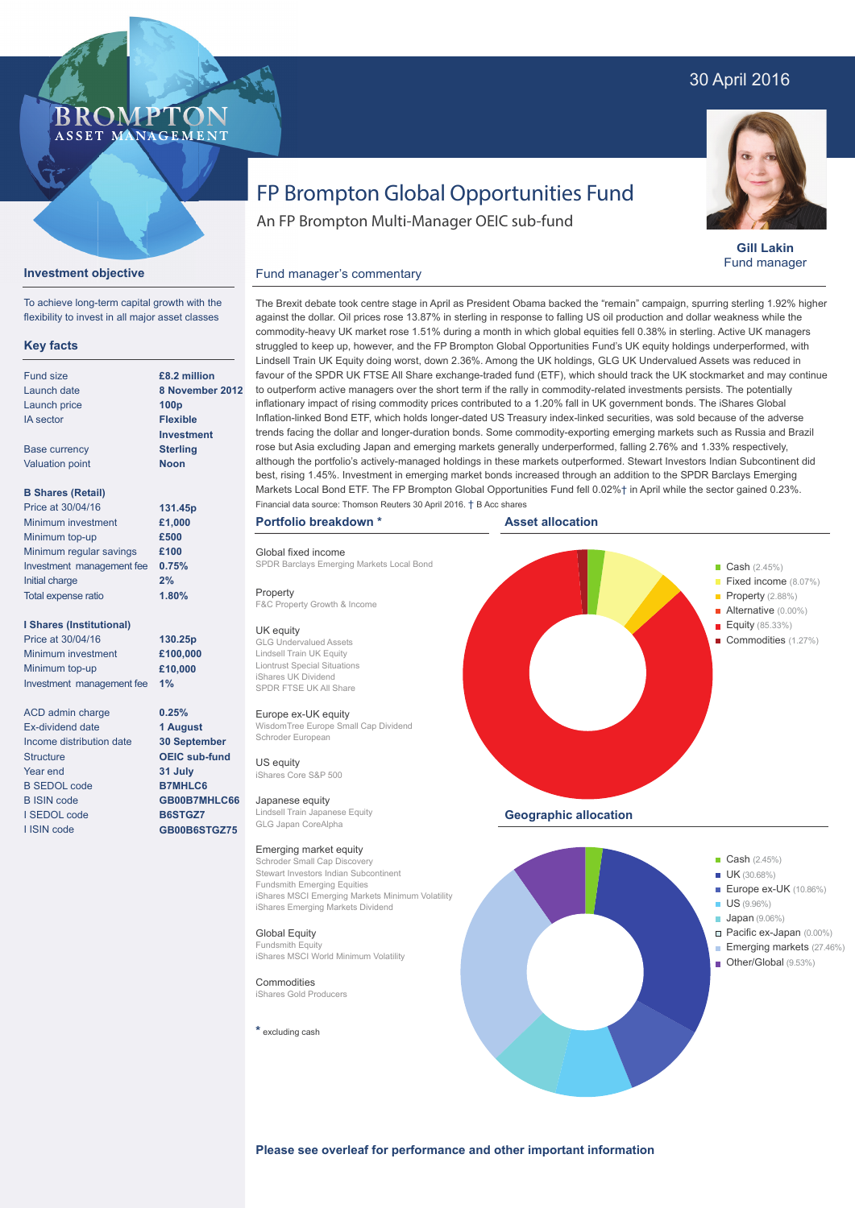## 30 April 2016



**Gill Lakin** Fund manager

# FP Brompton Global Opportunities Fund

An FP Brompton Multi-Manager OEIC sub-fund

## **Investment objective**

**BROMP** 

ASSET MANAGEMENT

To achieve long-term capital growth with the flexibility to invest in all major asset classes

### **Key facts**

| Fund size                 | £8.2 millio      |
|---------------------------|------------------|
| Launch date               | 8 Novemb         |
| Launch price              | 100 <sub>p</sub> |
| <b>IA</b> sector          | <b>Flexible</b>  |
|                           | <b>Investmer</b> |
| <b>Base currency</b>      | <b>Sterling</b>  |
| <b>Valuation point</b>    | <b>Noon</b>      |
| <b>B Shares (Retail)</b>  |                  |
| Price at 30/04/16         | 131.45p          |
| Minimum investment        | £1,000           |
| Minimum top-up            | £500             |
| Minimum regular savings   | £100             |
| Investment management fee | 0.75%            |
| Initial charge            | 2%               |

#### **I Shares (Institutional)**

Total expense ratio

Price at 30/04/16 Minimum investment Minimum top-up Investment management fee **1%**

ACD admin charge Ex-dividend date Income distribution date **Structure** Year end B SEDOL code B ISIN code I SEDOL code I ISIN code

**£8.2 million 8 November 2012 Investment**

**1.80%**

**130.25p £100,000 £10,000**

**0.25% 1 August 30 September OEIC sub-fund 31 July B7MHLC6 GB00B7MHLC66 B6STGZ7 GB00B6STGZ75**

The Brexit debate took centre stage in April as President Obama backed the "remain" campaign, spurring sterling 1.92% higher against the dollar. Oil prices rose 13.87% in sterling in response to falling US oil production and dollar weakness while the commodity-heavy UK market rose 1.51% during a month in which global equities fell 0.38% in sterling. Active UK managers struggled to keep up, however, and the FP Brompton Global Opportunities Fund's UK equity holdings underperformed, with Lindsell Train UK Equity doing worst, down 2.36%. Among the UK holdings, GLG UK Undervalued Assets was reduced in favour of the SPDR UK FTSE All Share exchange-traded fund (ETF), which should track the UK stockmarket and may continue to outperform active managers over the short term if the rally in commodity-related investments persists. The potentially inflationary impact of rising commodity prices contributed to a 1.20% fall in UK government bonds. The iShares Global Inflation-linked Bond ETF, which holds longer-dated US Treasury index-linked securities, was sold because of the adverse trends facing the dollar and longer-duration bonds. Some commodity-exporting emerging markets such as Russia and Brazil rose but Asia excluding Japan and emerging markets generally underperformed, falling 2.76% and 1.33% respectively, although the portfolio's actively-managed holdings in these markets outperformed. Stewart Investors Indian Subcontinent did best, rising 1.45%. Investment in emerging market bonds increased through an addition to the SPDR Barclays Emerging Markets Local Bond ETF. The FP Brompton Global Opportunities Fund fell 0.02%† in April while the sector gained 0.23%. Financial data source: Thomson Reuters 30 April 2016. † B Acc shares

#### **Portfolio breakdown \***

Global fixed income SPDR Barclays Emerging Markets Local Bond

Fund manager's commentary

Property

F&C Property Growth & Income

#### UK equity

GLG Undervalued Assets Lindsell Train UK Equity Liontrust Special Situations iShares UK Dividend SPDR FTSE UK All Share

#### Europe ex-UK equity

WisdomTree Europe Small Cap Dividend Schroder European

US equity iShares Core S&P 500

Japanese equity Lindsell Train Japanese Equity GLG Japan CoreAlpha

#### Emerging market equity

Schroder Small Cap Discovery Stewart Investors Indian Subcontinent Fundsmith Emerging Equities iShares MSCI Emerging Markets Minimum Volatility iShares Emerging Markets Dividend

Global Equity Fundsmith Equity iShares MSCI World Minimum Volatility

**Commodities** iShares Gold Producers

**\*** excluding cash





**Please see overleaf for performance and other important information**